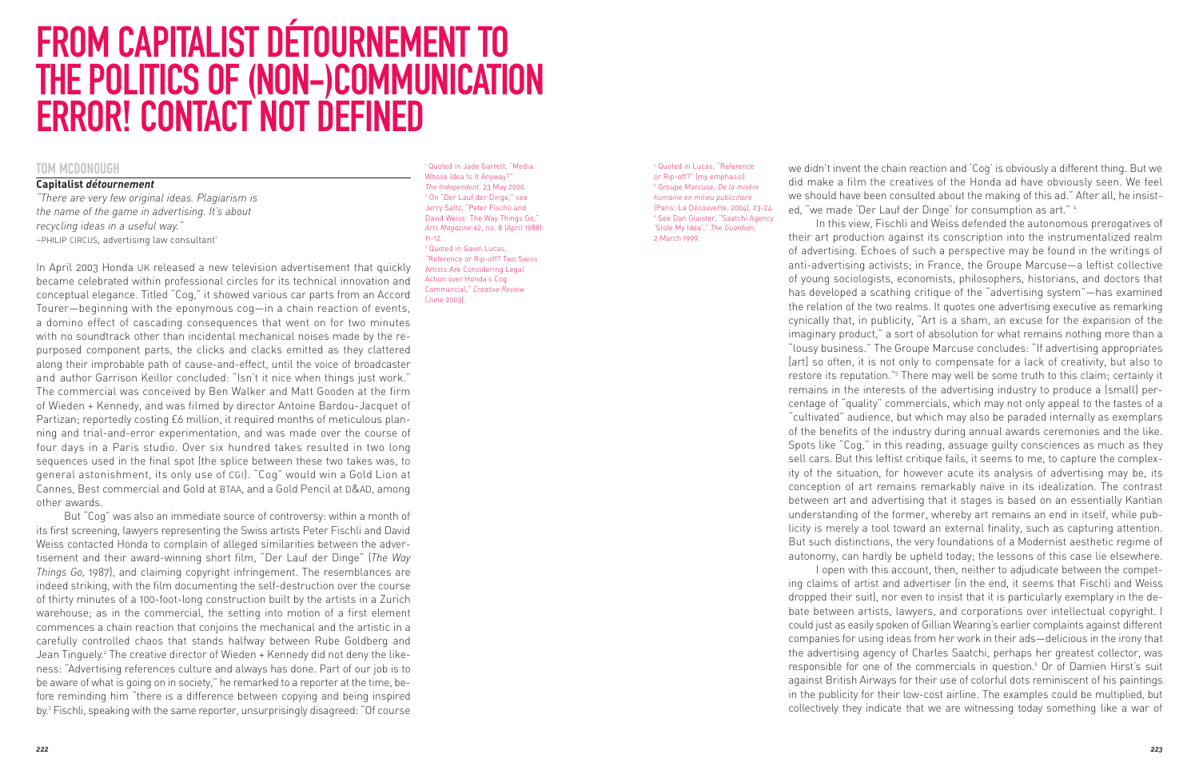# FROM CAPITALIST DÉTOURNEMENT TO THE POLITICS OF (NON-)COMMUNICATION ERROR! CONTACT NOT DEFINED

## TOM MCDONOUGH

### **Capitalist** *détournement*

*"There are very few original ideas. Plagiarism is the name of the game in advertising. It's about recycling ideas in a useful way."* -PHILIP CIRCUS, advertising law consultant<sup>1</sup>

In April 2003 Honda UK released a new television advertisement that quickly became celebrated within professional circles for its technical innovation and conceptual elegance. Titled "Cog," it showed various car parts from an Accord Tourer—beginning with the eponymous cog—in a chain reaction of events, a domino effect of cascading consequences that went on for two minutes with no soundtrack other than incidental mechanical noises made by the repurposed component parts, the clicks and clacks emitted as they clattered along their improbable path of cause-and-effect, until the voice of broadcaster and author Garrison Keillor concluded: "Isn't it nice when things just work." The commercial was conceived by Ben Walker and Matt Gooden at the firm of Wieden + Kennedy, and was filmed by director Antoine Bardou-Jacquet of Partizan; reportedly costing £6 million, it required months of meticulous planning and trial-and-error experimentation, and was made over the course of four days in a Paris studio. Over six hundred takes resulted in two long sequences used in the final spot (the splice between these two takes was, to general astonishment, its only use of CGI). "Cog" would win a Gold Lion at Cannes, Best commercial and Gold at BTAA, and a Gold Pencil at D&AD, among other awards.

But "Cog" was also an immediate source of controversy: within a month of its first screening, lawyers representing the Swiss artists Peter Fischli and David Weiss contacted Honda to complain of alleged similarities between the advertisement and their award-winning short film, "Der Lauf der Dinge" (*The Way Things Go,* 1987), and claiming copyright infringement. The resemblances are indeed striking, with the film documenting the self-destruction over the course of thirty minutes of a 100-foot-long construction built by the artists in a Zurich warehouse; as in the commercial, the setting into motion of a first element commences a chain reaction that conjoins the mechanical and the artistic in a carefully controlled chaos that stands halfway between Rube Goldberg and Jean Tinguely.<sup>2</sup> The creative director of Wieden + Kennedy did not deny the likeness: "Advertising references culture and always has done. Part of our job is to be aware of what is going on in society," he remarked to a reporter at the time, be fore reminding him "there is a difference between copying and being inspired by.3 Fischli, speaking with the same reporter, unsurprisingly disagreed: "Of course

<sup>1</sup> Quoted in Jade Garrett, "Media: Whose Idea Is It Anyway?" *The Independent*, 23 May 2000. <sup>2</sup> On "Der Lauf der Dinge," see Jerry Saltz, "Peter Fischli and David Weiss: The Way Things Go," *Arts Magazine* 62, no. 8 (April 1988): 11-12. <sup>3</sup> Quoted in Gavin Lucas, "Reference or Rip-off? Two Swiss Artists Are Considering Legal Action over Honda's Cog Commercial," *Creative Review*

(June 2003).

<sup>4</sup> Quoted in Lucas, "Reference or Rip-off?" (my emphasis). <sup>5</sup> Groupe Marcuse, *De la misère humaine en milieu publicitaire* (Paris: La Découverte, 2004), 23-24. <sup>6</sup> See Dan Glaister, "Saatchi Agency 'Stole My Idea'," *The Guardian*, 2 March 1999.

we didn't invent the chain reaction and 'Cog' is obviously a different thing. But we did make a film the creatives of the Honda ad have obviously seen. We feel we should have been consulted about the making of this ad." After all, he insisted, "we made 'Der Lauf der Dinge' for consumption as art." 4

In this view, Fischli and Weiss defended the autonomous prerogatives of their art production against its conscription into the instrumentalized realm of advertising. Echoes of such a perspective may be found in the writings of anti-advertising activists; in France, the Groupe Marcuse—a leftist collective of young sociologists, economists, philosophers, historians, and doctors that has developed a scathing critique of the "advertising system"—has examined the relation of the two realms. It quotes one advertising executive as remarking cynically that, in publicity, "Art is a sham, an excuse for the expansion of the imaginary product," a sort of absolution for what remains nothing more than a "lousy business." The Groupe Marcuse concludes: "If advertising appropriates [art] so often, it is not only to compensate for a lack of creativity, but also to restore its reputation."5 There may well be some truth to this claim; certainly it remains in the interests of the advertising industry to produce a (small) percentage of "quality" commercials, which may not only appeal to the tastes of a "cultivated" audience, but which may also be paraded internally as exemplars of the benefits of the industry during annual awards ceremonies and the like. Spots like "Cog," in this reading, assuage guilty consciences as much as they sell cars. But this leftist critique fails, it seems to me, to capture the complexity of the situation, for however acute its analysis of advertising may be, its conception of art remains remarkably naïve in its idealization. The contrast between art and advertising that it stages is based on an essentially Kantian understanding of the former, whereby art remains an end in itself, while publicity is merely a tool toward an external finality, such as capturing attention. But such distinctions, the very foundations of a Modernist aesthetic regime of autonomy, can hardly be upheld today; the lessons of this case lie elsewhere.

I open with this account, then, neither to adjudicate between the competing claims of artist and advertiser (in the end, it seems that Fischli and Weiss dropped their suit), nor even to insist that it is particularly exemplary in the de bate between artists, lawyers, and corporations over intellectual copyright. I could just as easily spoken of Gillian Wearing's earlier complaints against different companies for using ideas from her work in their ads—delicious in the irony that the advertising agency of Charles Saatchi, perhaps her greatest collector, was responsible for one of the commercials in question.<sup>6</sup> Or of Damien Hirst's suit against British Airways for their use of colorful dots reminiscent of his paintings in the publicity for their low-cost airline. The examples could be multiplied, but collectively they indicate that we are witnessing today something like a war of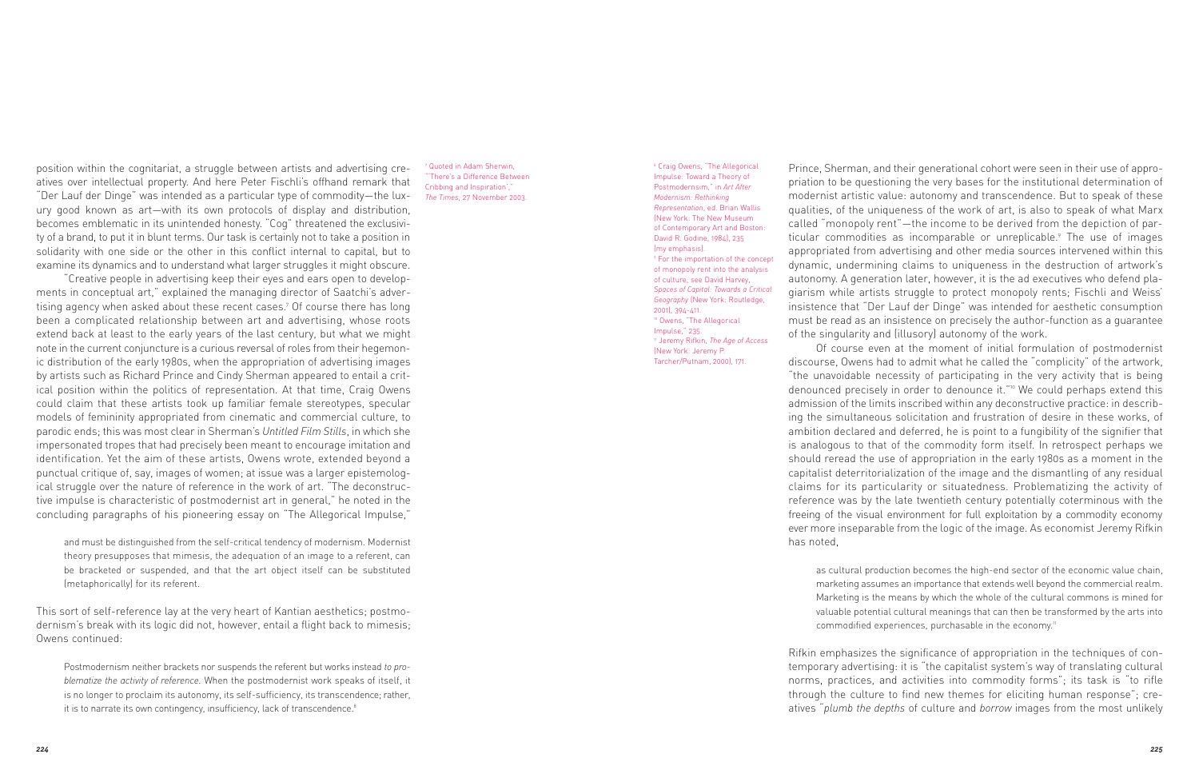position within the cognitariat, a struggle between artists and advertising creatives over intellectual property. And here Peter Fischli's offhand remark that "Der Lauf der Dinge" was intended as a particular type of commodity—the luxury good known as art—with its own protocols of display and distribution, becomes emblematic in its unintended honesty. "Cog" threatened the exclusivity of a brand, to put it in blunt terms. Our task is certainly not to take a position in solidarity with one side or the other in this conflict internal to capital, but to examine its dynamics and to understand what larger struggles it might obscure.

"Creative people in advertising keep their eyes and ears open to developments in conceptual art," explained the managing director of Saatchi's advertising agency when asked about these recent cases.7 Of course there has long been a complicated relationship between art and advertising, whose roots extend back at least to the early years of the last century, but what we might note in the current conjuncture is a curious reversal of roles from their hegemonic distribution of the early 1980s, when the appropriation of advertising images by artists such as Richard Prince and Cindy Sherman appeared to entail a critical position within the politics of representation. At that time, Craig Owens could claim that these artists took up familiar female stereotypes, specular models of femininity appropriated from cinematic and commercial culture, to parodic ends; this was most clear in Sherman's *Untitled Film Stills*, in which she impersonated tropes that had precisely been meant to encourage imitation and identification. Yet the aim of these artists, Owens wrote, extended beyond a punctual critique of, say, images of women; at issue was a larger epistemological struggle over the nature of reference in the work of art. "The deconstructive impulse is characteristic of postmodernist art in general," he noted in the concluding paragraphs of his pioneering essay on "The Allegorical Impulse,"

and must be distinguished from the self-critical tendency of modernism. Modernist theory presupposes that mimesis, the adequation of an image to a referent, can be bracketed or suspended, and that the art object itself can be substituted (metaphorically) for its referent.

This sort of self-reference lay at the very heart of Kantian aesthetics; postmo dernism's break with its logic did not, however, entail a flight back to mimesis; Owens continued:

Postmodernism neither brackets nor suspends the referent but works instead *to pro blematize the activity of reference.* When the postmodernist work speaks of itself, it is no longer to proclaim its autonomy, its self-sufficiency, its transcendence; rather, it is to narrate its own contingency, insufficiency, lack of transcendence.<sup>8</sup>

<sup>7</sup> Quoted in Adam Sherwin, 'There's a Difference Between Cribbing and Inspiration',' *The Times*, 27 November 2003.

<sup>8</sup> Craig Owens, "The Allegorical Impulse: Toward a Theory of Postmodernsim," in *Art After Modernism: Rethinking Representation*, ed. Brian Wallis (New York: The New Museum of Contemporary Art and Boston: David R. Godine, 1984), 235 (my emphasis). <sup>9</sup> For the importation of the concept of monopoly rent into the analysis of culture, see David Harvey, *Spaces of Capital: Towards a Critical Geography* (New York: Routledge, 2001), 394-411. <sup>10</sup> Owens, "The Allegorical Impulse," 235. <sup>11</sup> Jeremy Rifkin, *The Age of Access* (New York: Jeremy P. Tarcher/Putnam, 2000), 171.

Prince, Sherman, and their generational cohort were seen in their use of appropriation to be questioning the very bases for the institutional determination of modernist artistic value: autonomy and transcendence. But to speak of these qualities, of the uniqueness of the work of art, is also to speak of what Marx called "monopoly rent"—the income to be derived from the depiction of particular commodities as incomparable or unreplicable.<sup>9</sup> The use of images appropriated from advertising and other media sources intervened within this dynamic, undermining claims to uniqueness in the destruction of artwork's autonomy. A generation later, however, it is the ad executives who defend plagiarism while artists struggle to protect monopoly rents; Fischli and Weiss' insistence that "Der Lauf der Dinge" was intended for aesthetic consumption must be read as an insistence on precisely the author-function as a guarantee of the singularity and (illusory) autonomy of the work.

Of course even at the moment of initial formulation of postmodernist discourse, Owens had to admit what he called the "complicity" of the artwork, "the unavoidable necessity of participating in the very activity that is being denounced precisely in order to denounce it."10 We could perhaps extend this admission of the limits inscribed within any deconstructive practice: in describing the simultaneous solicitation and frustration of desire in these works, of ambition declared and deferred, he is point to a fungibility of the signifier that is analogous to that of the commodity form itself. In retrospect perhaps we should reread the use of appropriation in the early 1980s as a moment in the capitalist deterritorialization of the image and the dismantling of any residual claims for its particularity or situatedness. Problematizing the activity of reference was by the late twentieth century potentially coterminous with the freeing of the visual environment for full exploitation by a commodity economy ever more inseparable from the logic of the image. As economist Jeremy Rifkin has noted,

as cultural production becomes the high-end sector of the economic value chain, marketing assumes an importance that extends well beyond the commercial realm. Marketing is the means by which the whole of the cultural commons is mined for valuable potential cultural meanings that can then be transformed by the arts into commodified experiences, purchasable in the economy.<sup>11</sup>

Rifkin emphasizes the significance of appropriation in the techniques of contemporary advertising: it is "the capitalist system's way of translating cultural norms, practices, and activities into commodity forms"; its task is "to rifle through the culture to find new themes for eliciting human response"; creatives "*plumb the depths* of culture and *borrow* images from the most unlikely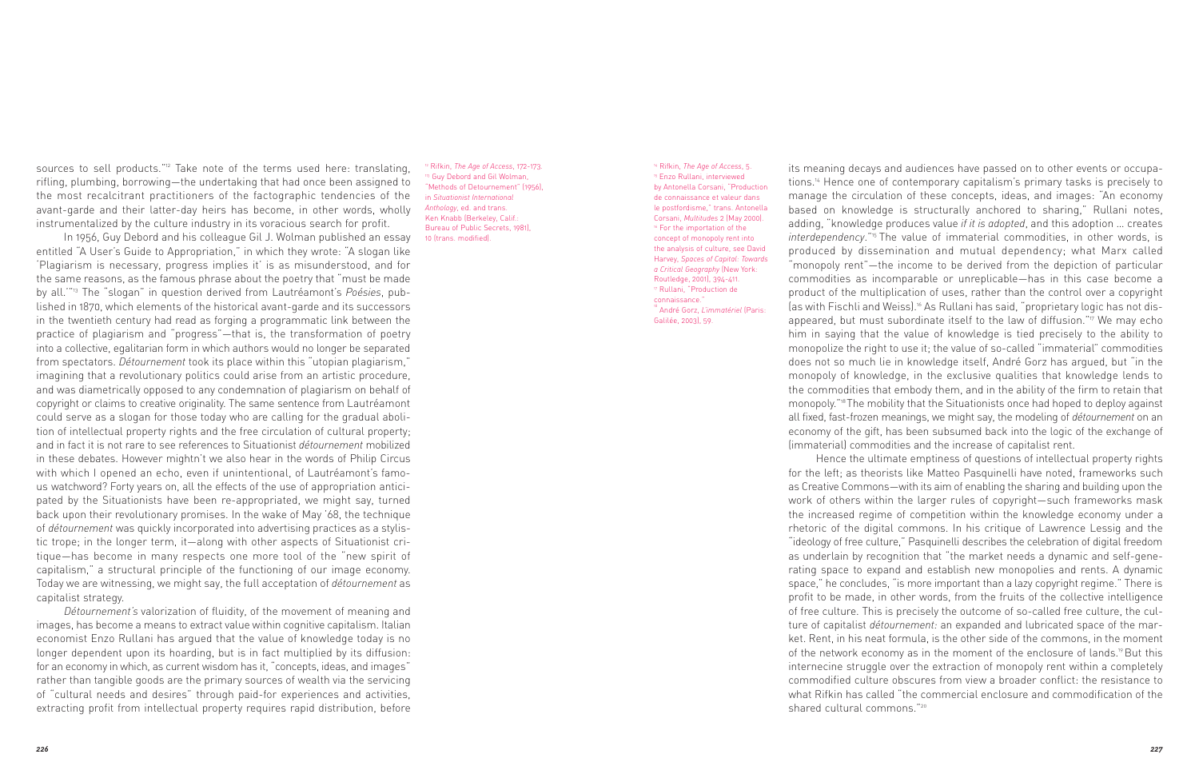sources to sell products."<sup>12</sup> Take note of the terms used here: translating, rifling, plumbing, borrowing—the undertaking that had once been assigned to the most recalcitrant practitioners of the factographic tendencies of the avant-garde and their latter-day heirs has become, in other words, wholly instrumentalized by the culture industry in its voracious search for profit.

In 1956, Guy Debord and his colleague Gil J. Wolman published an essay entitled "A User's Guide to Appropriation," in which they wrote: "A slogan like 'Plagiarism is necessary, progress implies it' is as misunderstood, and for the same reasons, as the famous phrase about the poetry that "must be made by all.'"13 The "slogan" in question derived from Lautréamont's *Poésies*, published in 1870, which elements of the historical avant-garde and its successors in the twentieth century had read as forging a programmatic link between the practice of plagiarism and "progress"—that is, the transformation of poetry into a collective, egalitarian form in which authors would no longer be separated from spectators. *Détournement* took its place within this "utopian plagiarism," imagining that a revolutionary politics could arise from an artistic procedure, and was diametrically opposed to any condemnation of plagiarism on behalf of copyright or claims to creative originality. The same sentence from Lautréamont could serve as a slogan for those today who are calling for the gradual abolition of intellectual property rights and the free circulation of cultural property; and in fact it is not rare to see references to Situationist *détournement* mobilized in these debates. However mightn't we also hear in the words of Philip Circus with which I opened an echo, even if unintentional, of Lautréamont's famous watchword? Forty years on, all the effects of the use of appropriation anticipated by the Situationists have been re-appropriated, we might say, turned back upon their revolutionary promises. In the wake of May '68, the technique of *détournement* was quickly incorporated into advertising practices as a stylistic trope; in the longer term, it—along with other aspects of Situationist critique—has become in many respects one more tool of the "new spirit of capitalism," a structural principle of the functioning of our image economy. Today we are witnessing, we might say, the full acceptation of *détournement* as capitalist strategy.

*Détournement's* valorization of fluidity, of the movement of meaning and images, has become a means to extract value within cognitive capitalism. Italian economist Enzo Rullani has argued that the value of knowledge today is no longer dependent upon its hoarding, but is in fact multiplied by its diffusion: for an economy in which, as current wisdom has it, "concepts, ideas, and images" rather than tangible goods are the primary sources of wealth via the servicing of "cultural needs and desires" through paid-for experiences and activities, extracting profit from intellectual property requires rapid distribution, before

<sup>12</sup> Rifkin, *The Age of Access*, 172-173. <sup>3</sup> Guy Debord and Gil Wolman, 'Methods of Detournement" (1956), in *Situationist International Anthology*, ed. and trans. Ken Knabb (Berkeley, Calif.: Bureau of Public Secrets, 1981), 10 (trans. modified).

<sup>14</sup> Rifkin, *The Age of Access*, 5. <sup>15</sup> Enzo Rullani, interviewed by Antonella Corsani, "Production de connaissance et valeur dans le postfordisme," trans. Antonella Corsani, *Multitudes* 2 (May 2000). <sup>16</sup> For the importation of the concept of monopoly rent into the analysis of culture, see David Harvey, *Spaces of Capital: Towards a Critical Geography* (New York: Routledge, 2001), 394-411. <sup>17</sup> Rullani, "Production de connaissance." <sup>18</sup> André Gorz, *L'immatériel* (Paris: Galilée, 2003), 59.

its meaning decays and audiences have passed on to other events or occupations.14 Hence one of contemporary capitalism's primary tasks is precisely to manage the circulation of these concepts, ideas, and images: "An economy based on knowledge is structurally anchored to sharing," Rullani notes, adding, "knowledge produces value *if it is adopted*, and this adoption … creates *interdependency*."15 The value of immaterial commodities, in other words, is produced by dissemination and mutual dependency; what Marx called "monopoly rent"—the income to be derived from the depiction of particular commodities as incomparable or unreplicable—has in this case become a product of the multiplication of uses, rather than the control over a copyright (as with Fischli and Weiss).<sup>16</sup> As Rullani has said, "proprietary logic has not disappeared, but must subordinate itself to the law of diffusion."<sup>17</sup> We may echo him in saying that the value of knowledge is tied precisely to the ability to monopolize the right to use it; the value of so-called "immaterial" commodities does not so much lie in knowledge itself, André Gorz has argued, but "in the monopoly of knowledge, in the exclusive qualities that knowledge lends to the commodities that embody them, and in the ability of the firm to retain that monopoly."18 The mobility that the Situationists once had hoped to deploy against all fixed, fast-frozen meanings, we might say, the modeling of *détournement* on an economy of the gift, has been subsumed back into the logic of the exchange of (immaterial) commodities and the increase of capitalist rent.

Hence the ultimate emptiness of questions of intellectual property rights for the left; as theorists like Matteo Pasquinelli have noted, frameworks such as Creative Commons—with its aim of enabling the sharing and building upon the work of others within the larger rules of copyright—such frameworks mask the increased regime of competition within the knowledge economy under a rhetoric of the digital commons. In his critique of Lawrence Lessig and the "ideology of free culture," Pasquinelli describes the celebration of digital freedom as underlain by recognition that "the market needs a dynamic and self-gene rating space to expand and establish new monopolies and rents. A dynamic space," he concludes, "is more important than a lazy copyright regime." There is profit to be made, in other words, from the fruits of the collective intelligence of free culture. This is precisely the outcome of so-called free culture, the culture of capitalist *détournement:* an expanded and lubricated space of the market. Rent, in his neat formula, is the other side of the commons, in the moment of the network economy as in the moment of the enclosure of lands.<sup>19</sup> But this internecine struggle over the extraction of monopoly rent within a completely commodified culture obscures from view a broader conflict: the resistance to what Rifkin has called "the commercial enclosure and commodification of the shared cultural commons."<sup>20</sup>